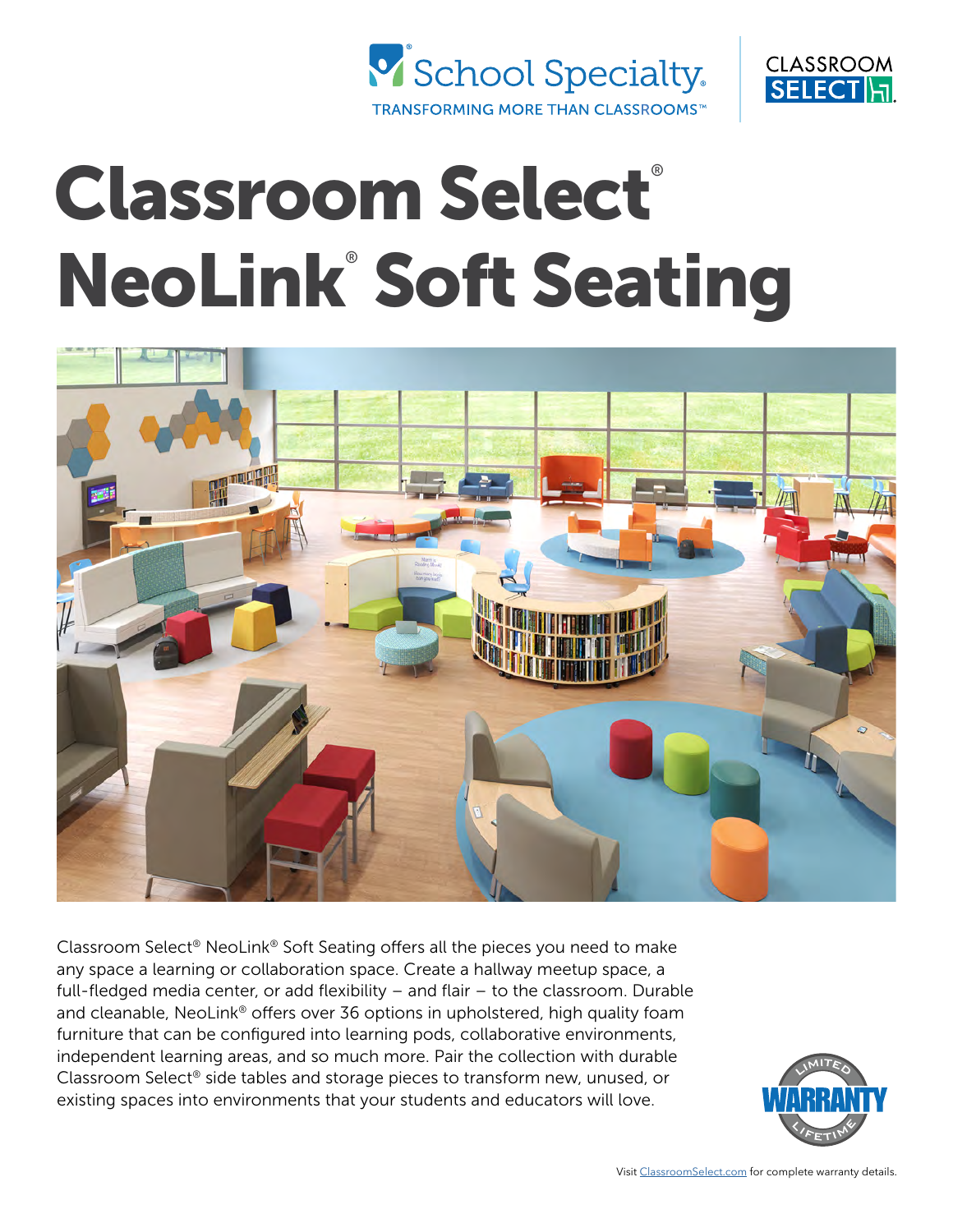



# Classroom Select® NeoLink® Soft Seating



Classroom Select® NeoLink® Soft Seating offers all the pieces you need to make any space a learning or collaboration space. Create a hallway meetup space, a full-fledged media center, or add flexibility – and flair – to the classroom. Durable and cleanable, NeoLink® offers over 36 options in upholstered, high quality foam furniture that can be configured into learning pods, collaborative environments, independent learning areas, and so much more. Pair the collection with durable Classroom Select® side tables and storage pieces to transform new, unused, or existing spaces into environments that your students and educators will love.

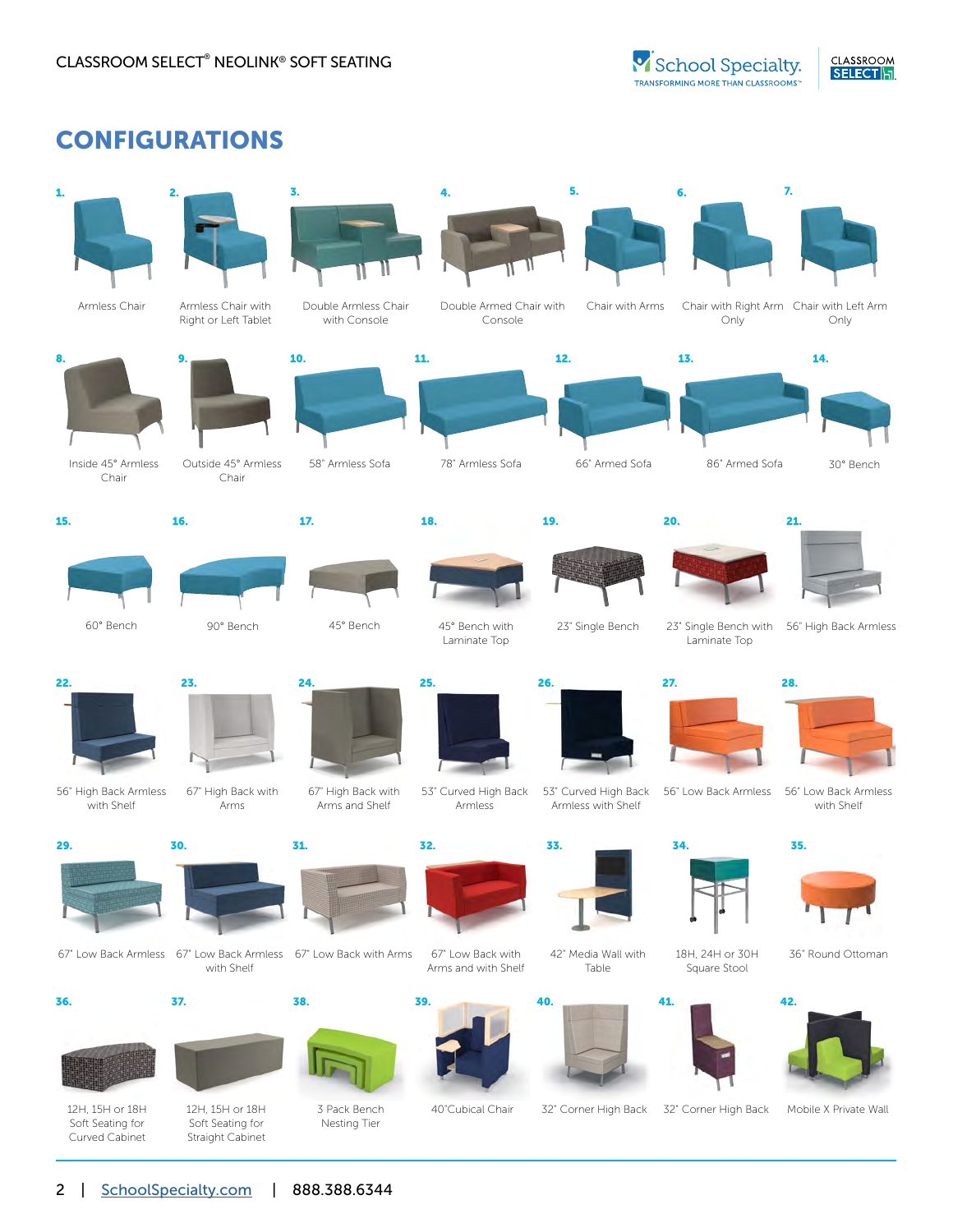## CONFIGURATIONS

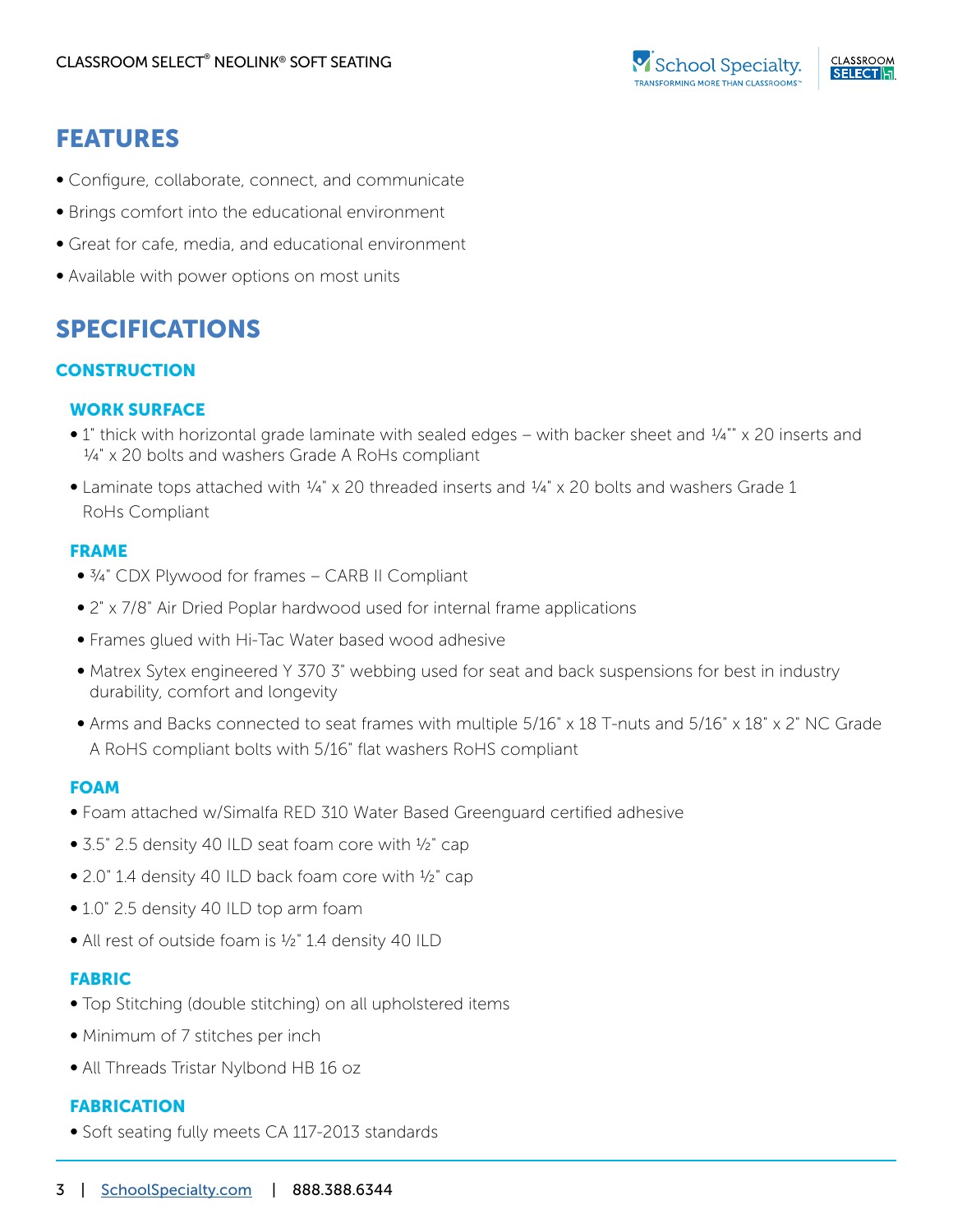## FEATURES

- Configure, collaborate, connect, and communicate
- Brings comfort into the educational environment
- Great for cafe, media, and educational environment
- Available with power options on most units

## SPECIFICATIONS

#### **CONSTRUCTION**

#### WORK SURFACE

- 1" thick with horizontal grade laminate with sealed edges with backer sheet and  $\frac{1}{4}$ "" x 20 inserts and  $\frac{1}{4}$ " x 20 bolts and washers Grade A RoHs compliant
- Laminate tops attached with  $\frac{1}{4}$ " x 20 threaded inserts and  $\frac{1}{4}$ " x 20 bolts and washers Grade 1 RoHs Compliant

#### FRAME

- ¾" CDX Plywood for frames CARB II Compliant
- 2" x 7/8" Air Dried Poplar hardwood used for internal frame applications
- Frames glued with Hi-Tac Water based wood adhesive
- Matrex Sytex engineered Y 370 3" webbing used for seat and back suspensions for best in industry durability, comfort and longevity
- Arms and Backs connected to seat frames with multiple 5/16" x 18 T-nuts and 5/16" x 18" x 2" NC Grade A RoHS compliant bolts with 5/16" flat washers RoHS compliant

#### FOAM

- Foam attached w/Simalfa RED 310 Water Based Greenguard certified adhesive
- 3.5" 2.5 density 40 ILD seat foam core with ½" cap
- 2.0" 1.4 density 40 ILD back foam core with ½" cap
- 1.0" 2.5 density 40 ILD top arm foam
- All rest of outside foam is <sup>1</sup>/<sub>2</sub>" 1.4 density 40 ILD

#### FABRIC

- Top Stitching (double stitching) on all upholstered items
- Minimum of 7 stitches per inch
- All Threads Tristar Nylbond HB 16 oz

#### FABRICATION

• Soft seating fully meets CA 117-2013 standards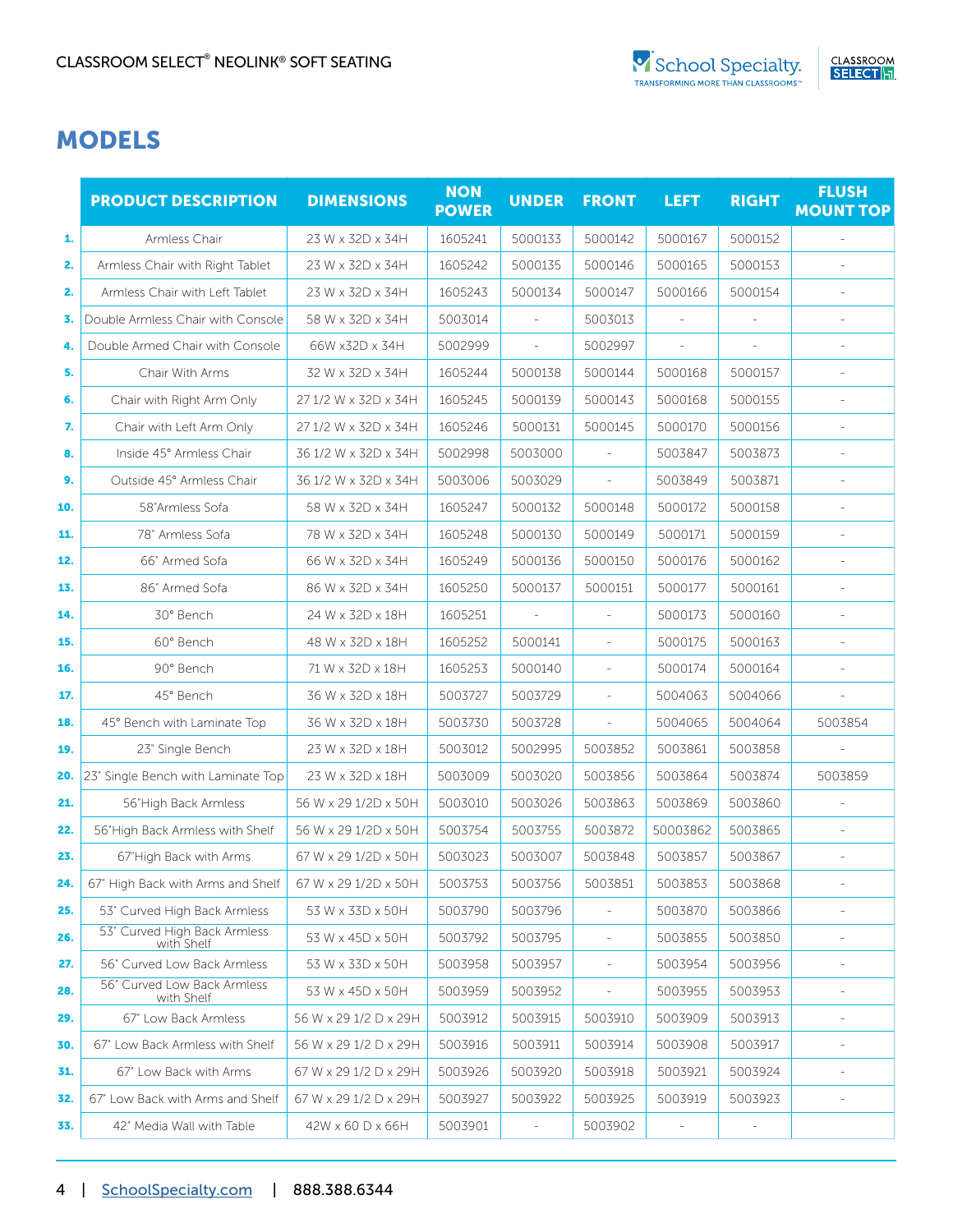## MODELS

|     | <b>PRODUCT DESCRIPTION</b>                 | <b>DIMENSIONS</b>     | <b>NON</b><br><b>POWER</b> | <b>UNDER</b>             | <b>FRONT</b>             | <b>LEFT</b>              | <b>RIGHT</b> | <b>FLUSH</b><br><b>MOUNT TOP</b> |
|-----|--------------------------------------------|-----------------------|----------------------------|--------------------------|--------------------------|--------------------------|--------------|----------------------------------|
| 1.  | Armless Chair                              | 23 W x 32D x 34H      | 1605241                    | 5000133                  | 5000142                  | 5000167                  | 5000152      |                                  |
| 2.  | Armless Chair with Right Tablet            | 23 W x 32D x 34H      | 1605242                    | 5000135                  | 5000146                  | 5000165                  | 5000153      |                                  |
| 2.  | Armless Chair with Left Tablet             | 23 W x 32D x 34H      | 1605243                    | 5000134                  | 5000147                  | 5000166                  | 5000154      |                                  |
| 3.  | Double Armless Chair with Console          | 58 W x 32D x 34H      | 5003014                    | $\overline{\phantom{a}}$ | 5003013                  |                          |              |                                  |
| 4.  | Double Armed Chair with Console            | 66W x32D x 34H        | 5002999                    | $\overline{\phantom{a}}$ | 5002997                  | $\overline{\phantom{a}}$ | ÷,           |                                  |
| 5.  | Chair With Arms                            | 32 W x 32D x 34H      | 1605244                    | 5000138                  | 5000144                  | 5000168                  | 5000157      |                                  |
| 6.  | Chair with Right Arm Only                  | 27 1/2 W x 32D x 34H  | 1605245                    | 5000139                  | 5000143                  | 5000168                  | 5000155      |                                  |
| 7.  | Chair with Left Arm Only                   | 27 1/2 W x 32D x 34H  | 1605246                    | 5000131                  | 5000145                  | 5000170                  | 5000156      |                                  |
| 8.  | Inside 45° Armless Chair                   | 36 1/2 W x 32D x 34H  | 5002998                    | 5003000                  | i.                       | 5003847                  | 5003873      |                                  |
| 9.  | Outside 45° Armless Chair                  | 36 1/2 W x 32D x 34H  | 5003006                    | 5003029                  |                          | 5003849                  | 5003871      |                                  |
| 10. | 58"Armless Sofa                            | 58 W x 32D x 34H      | 1605247                    | 5000132                  | 5000148                  | 5000172                  | 5000158      |                                  |
| 11. | 78" Armless Sofa                           | 78 W x 32D x 34H      | 1605248                    | 5000130                  | 5000149                  | 5000171                  | 5000159      |                                  |
| 12. | 66" Armed Sofa                             | 66 W x 32D x 34H      | 1605249                    | 5000136                  | 5000150                  | 5000176                  | 5000162      |                                  |
| 13. | 86" Armed Sofa                             | 86 W x 32D x 34H      | 1605250                    | 5000137                  | 5000151                  | 5000177                  | 5000161      |                                  |
| 14. | 30° Bench                                  | 24 W x 32D x 18H      | 1605251                    | $\overline{\phantom{a}}$ | $\overline{\phantom{a}}$ | 5000173                  | 5000160      |                                  |
| 15. | 60° Bench                                  | 48 W x 32D x 18H      | 1605252                    | 5000141                  |                          | 5000175                  | 5000163      |                                  |
| 16. | 90° Bench                                  | 71 W x 32D x 18H      | 1605253                    | 5000140                  | ÷,                       | 5000174                  | 5000164      |                                  |
| 17. | 45° Bench                                  | 36 W x 32D x 18H      | 5003727                    | 5003729                  | ÷,                       | 5004063                  | 5004066      |                                  |
| 18. | 45° Bench with Laminate Top                | 36 W x 32D x 18H      | 5003730                    | 5003728                  | ÷,                       | 5004065                  | 5004064      | 5003854                          |
| 19. | 23" Single Bench                           | 23 W x 32D x 18H      | 5003012                    | 5002995                  | 5003852                  | 5003861                  | 5003858      |                                  |
| 20. | 23" Single Bench with Laminate Top         | 23 W x 32D x 18H      | 5003009                    | 5003020                  | 5003856                  | 5003864                  | 5003874      | 5003859                          |
| 21. | 56"High Back Armless                       | 56 W x 29 1/2D x 50H  | 5003010                    | 5003026                  | 5003863                  | 5003869                  | 5003860      |                                  |
| 22. | 56"High Back Armless with Shelf            | 56 W x 29 1/2D x 50H  | 5003754                    | 5003755                  | 5003872                  | 50003862                 | 5003865      |                                  |
| 23. | 67"High Back with Arms                     | 67 W x 29 1/2D x 50H  | 5003023                    | 5003007                  | 5003848                  | 5003857                  | 5003867      | $\overline{\phantom{a}}$         |
| 24. | 67" High Back with Arms and Shelf          | 67 W x 29 1/2D x 50H  | 5003753                    | 5003756                  | 5003851                  | 5003853                  | 5003868      |                                  |
| 25. | 53" Curved High Back Armless               | 53 W x 33D x 50H      | 5003790                    | 5003796                  |                          | 5003870                  | 5003866      |                                  |
| 26. | 53" Curved High Back Armless<br>with Shelf | 53 W x 45D x 50H      | 5003792                    | 5003795                  | $\overline{\phantom{a}}$ | 5003855                  | 5003850      |                                  |
| 27. | 56" Curved Low Back Armless                | 53 W x 33D x 50H      | 5003958                    | 5003957                  | $\overline{\phantom{a}}$ | 5003954                  | 5003956      | $\overline{a}$                   |
| 28. | 56" Curved Low Back Armless<br>with Shelf  | 53 W x 45D x 50H      | 5003959                    | 5003952                  | $\qquad \qquad -$        | 5003955                  | 5003953      |                                  |
| 29. | 67" Low Back Armless                       | 56 W x 29 1/2 D x 29H | 5003912                    | 5003915                  | 5003910                  | 5003909                  | 5003913      | $\frac{1}{2}$                    |
| 30. | 67" Low Back Armless with Shelf            | 56 W x 29 1/2 D x 29H | 5003916                    | 5003911                  | 5003914                  | 5003908                  | 5003917      | $\bar{\phantom{a}}$              |
| 31. | 67" Low Back with Arms                     | 67 W x 29 1/2 D x 29H | 5003926                    | 5003920                  | 5003918                  | 5003921                  | 5003924      | $\frac{1}{2}$                    |
| 32. | 67" Low Back with Arms and Shelf           | 67 W x 29 1/2 D x 29H | 5003927                    | 5003922                  | 5003925                  | 5003919                  | 5003923      |                                  |
| 33. | 42" Media Wall with Table                  | 42W x 60 D x 66H      | 5003901                    | $\overline{\phantom{a}}$ | 5003902                  | $\overline{\phantom{a}}$ | ÷,           |                                  |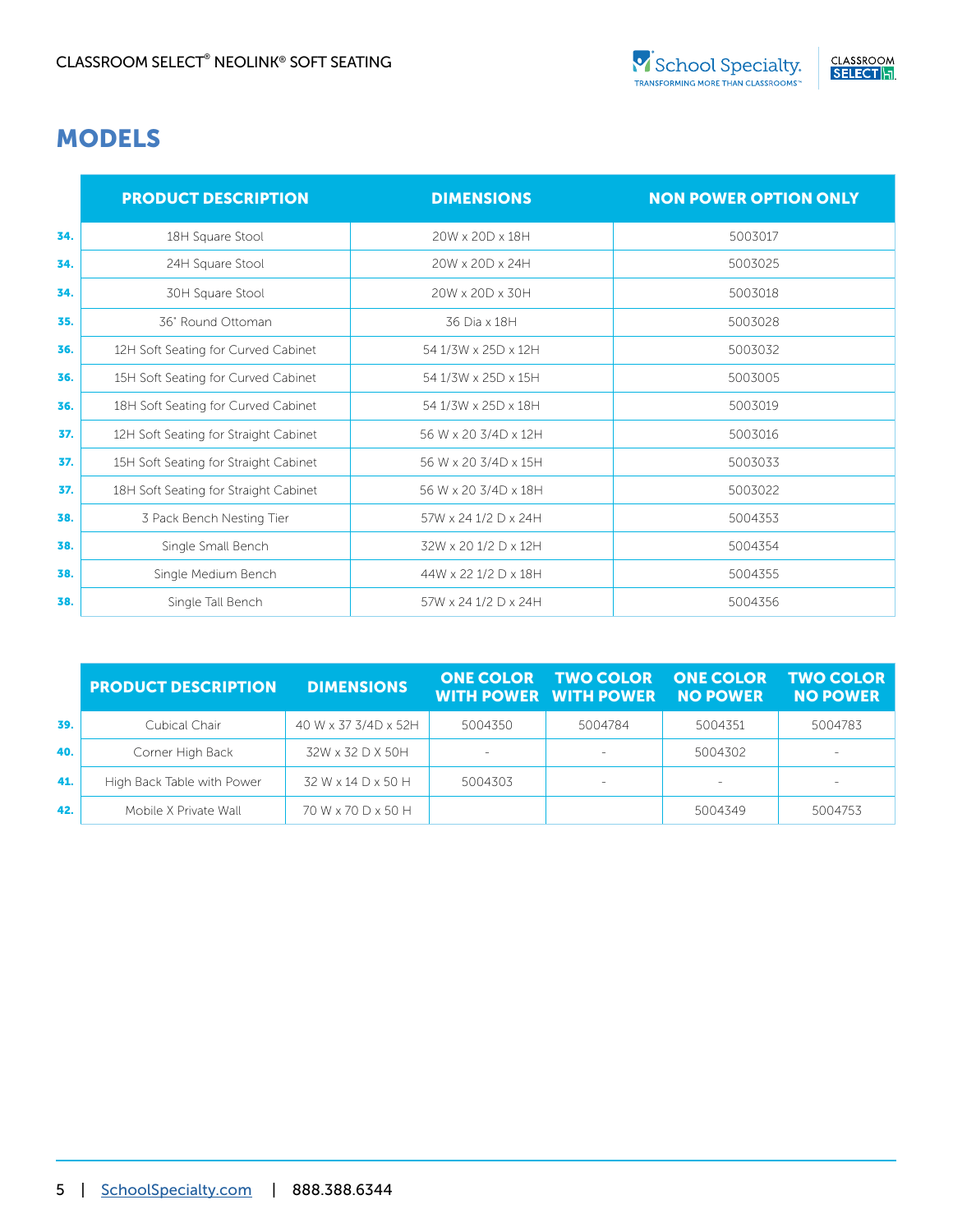### MODELS

|     | <b>PRODUCT DESCRIPTION</b>            | <b>DIMENSIONS</b>    | <b>NON POWER OPTION ONLY</b> |
|-----|---------------------------------------|----------------------|------------------------------|
| 34. | 18H Square Stool                      | 20W x 20D x 18H      | 5003017                      |
| 34. | 24H Square Stool                      | 20W x 20D x 24H      | 5003025                      |
| 34. | 30H Square Stool                      | 20W x 20D x 30H      | 5003018                      |
| 35. | 36" Round Ottoman                     | 36 Dia x 18H         | 5003028                      |
| 36. | 12H Soft Seating for Curved Cabinet   | 54 1/3W x 25D x 12H  | 5003032                      |
| 36. | 15H Soft Seating for Curved Cabinet   | 54 1/3W x 25D x 15H  | 5003005                      |
| 36. | 18H Soft Seating for Curved Cabinet   | 54 1/3W x 25D x 18H  | 5003019                      |
| 37. | 12H Soft Seating for Straight Cabinet | 56 W x 20 3/4D x 12H | 5003016                      |
| 37. | 15H Soft Seating for Straight Cabinet | 56 W x 20 3/4D x 15H | 5003033                      |
| 37. | 18H Soft Seating for Straight Cabinet | 56 W x 20 3/4D x 18H | 5003022                      |
| 38. | 3 Pack Bench Nesting Tier             | 57W x 24 1/2 D x 24H | 5004353                      |
| 38. | Single Small Bench                    | 32W x 20 1/2 D x 12H | 5004354                      |
| 38. | Single Medium Bench                   | 44W x 22 1/2 D x 18H | 5004355                      |
| 38. | Single Tall Bench                     | 57W x 24 1/2 D x 24H | 5004356                      |

|     | <b>PRODUCT DESCRIPTION</b> | <b>DIMENSIONS</b>    | <b>ONE COLOR</b> | TWO COLOR ONE COLOR TWO COLOR<br><b>WITH POWER WITH POWER NO POWER</b> |         | <b>NO POWER</b>          |
|-----|----------------------------|----------------------|------------------|------------------------------------------------------------------------|---------|--------------------------|
| 39. | Cubical Chair              | 40 W x 37 3/4D x 52H | 5004350          | 5004784                                                                | 5004351 | 5004783                  |
| 40. | Corner High Back           | 32W x 32 D X 50H     | $\sim$           |                                                                        | 5004302 | $\sim$                   |
| 41. | High Back Table with Power | 32 W x 14 D x 50 H   | 5004303          |                                                                        |         | $\overline{\phantom{a}}$ |
| 42. | Mobile X Private Wall      | 70 W x 70 D x 50 H   |                  |                                                                        | 5004349 | 5004753                  |